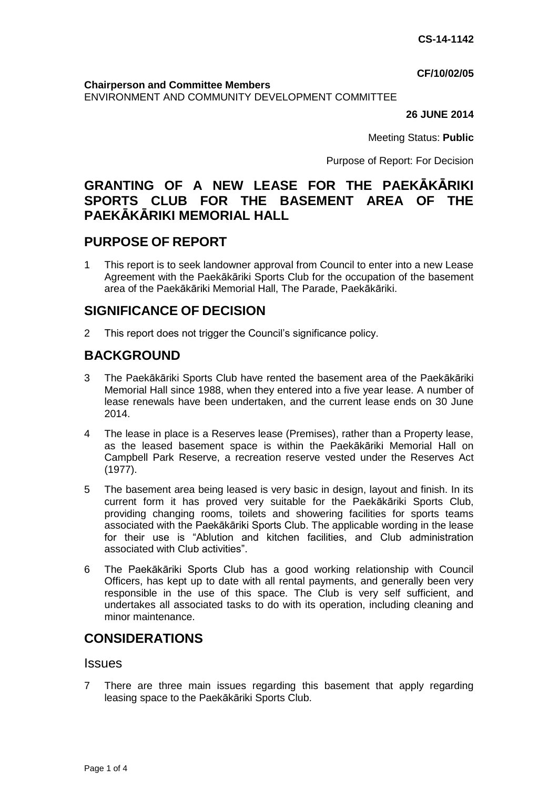**CF/10/02/05**

**Chairperson and Committee Members**

ENVIRONMENT AND COMMUNITY DEVELOPMENT COMMITTEE

#### **26 JUNE 2014**

Meeting Status: **Public**

Purpose of Report: For Decision

# **GRANTING OF A NEW LEASE FOR THE PAEKĀKĀRIKI SPORTS CLUB FOR THE BASEMENT AREA OF THE PAEKĀKĀRIKI MEMORIAL HALL**

# **PURPOSE OF REPORT**

1 This report is to seek landowner approval from Council to enter into a new Lease Agreement with the Paekākāriki Sports Club for the occupation of the basement area of the Paekākāriki Memorial Hall, The Parade, Paekākāriki.

# **SIGNIFICANCE OF DECISION**

2 This report does not trigger the Council's significance policy.

# **BACKGROUND**

- 3 The Paekākāriki Sports Club have rented the basement area of the Paekākāriki Memorial Hall since 1988, when they entered into a five year lease. A number of lease renewals have been undertaken, and the current lease ends on 30 June 2014.
- 4 The lease in place is a Reserves lease (Premises), rather than a Property lease, as the leased basement space is within the Paekākāriki Memorial Hall on Campbell Park Reserve, a recreation reserve vested under the Reserves Act (1977).
- 5 The basement area being leased is very basic in design, layout and finish. In its current form it has proved very suitable for the Paekākāriki Sports Club, providing changing rooms, toilets and showering facilities for sports teams associated with the Paekākāriki Sports Club. The applicable wording in the lease for their use is "Ablution and kitchen facilities, and Club administration associated with Club activities".
- 6 The Paekākāriki Sports Club has a good working relationship with Council Officers, has kept up to date with all rental payments, and generally been very responsible in the use of this space. The Club is very self sufficient, and undertakes all associated tasks to do with its operation, including cleaning and minor maintenance.

# **CONSIDERATIONS**

## **Issues**

7 There are three main issues regarding this basement that apply regarding leasing space to the Paekākāriki Sports Club.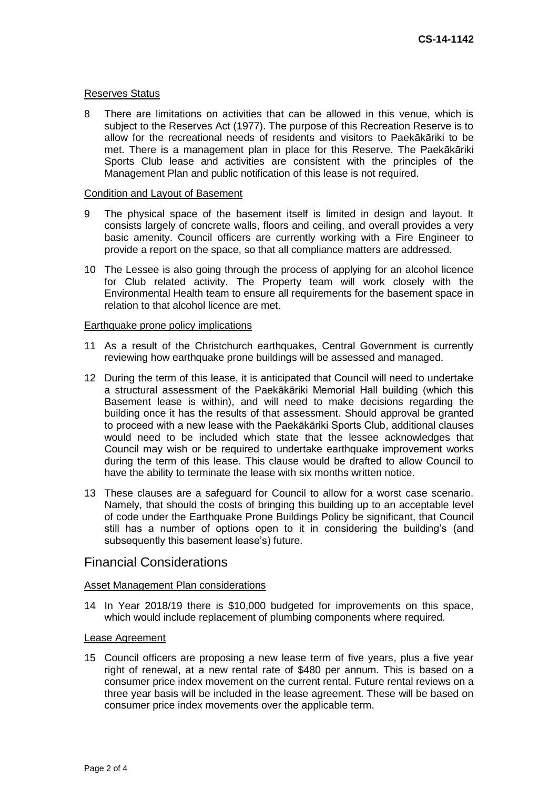#### Reserves Status

8 There are limitations on activities that can be allowed in this venue, which is subject to the Reserves Act (1977). The purpose of this Recreation Reserve is to allow for the recreational needs of residents and visitors to Paekākāriki to be met. There is a management plan in place for this Reserve. The Paekākāriki Sports Club lease and activities are consistent with the principles of the Management Plan and public notification of this lease is not required.

#### Condition and Layout of Basement

- 9 The physical space of the basement itself is limited in design and layout. It consists largely of concrete walls, floors and ceiling, and overall provides a very basic amenity. Council officers are currently working with a Fire Engineer to provide a report on the space, so that all compliance matters are addressed.
- 10 The Lessee is also going through the process of applying for an alcohol licence for Club related activity. The Property team will work closely with the Environmental Health team to ensure all requirements for the basement space in relation to that alcohol licence are met.

#### Earthquake prone policy implications

- 11 As a result of the Christchurch earthquakes, Central Government is currently reviewing how earthquake prone buildings will be assessed and managed.
- 12 During the term of this lease, it is anticipated that Council will need to undertake a structural assessment of the Paekākāriki Memorial Hall building (which this Basement lease is within), and will need to make decisions regarding the building once it has the results of that assessment. Should approval be granted to proceed with a new lease with the Paekākāriki Sports Club, additional clauses would need to be included which state that the lessee acknowledges that Council may wish or be required to undertake earthquake improvement works during the term of this lease. This clause would be drafted to allow Council to have the ability to terminate the lease with six months written notice.
- 13 These clauses are a safeguard for Council to allow for a worst case scenario. Namely, that should the costs of bringing this building up to an acceptable level of code under the Earthquake Prone Buildings Policy be significant, that Council still has a number of options open to it in considering the building's (and subsequently this basement lease's) future.

## Financial Considerations

#### Asset Management Plan considerations

14 In Year 2018/19 there is \$10,000 budgeted for improvements on this space, which would include replacement of plumbing components where required.

#### Lease Agreement

15 Council officers are proposing a new lease term of five years, plus a five year right of renewal, at a new rental rate of \$480 per annum. This is based on a consumer price index movement on the current rental. Future rental reviews on a three year basis will be included in the lease agreement. These will be based on consumer price index movements over the applicable term.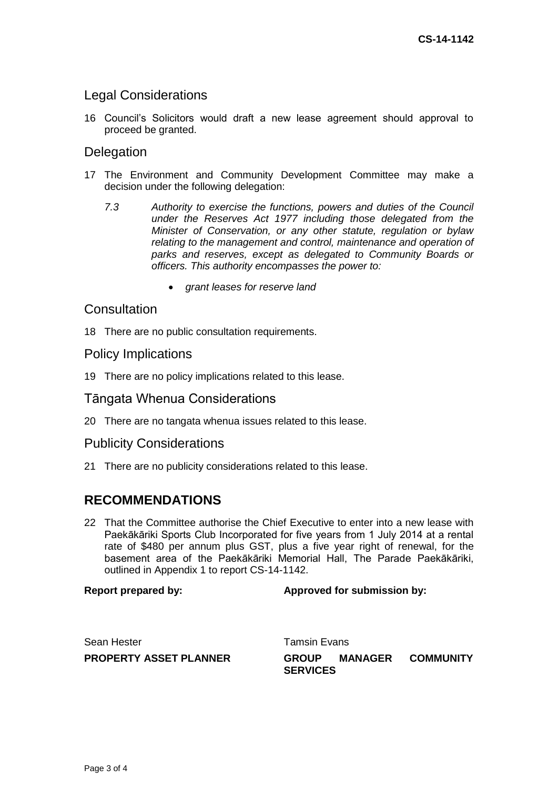# Legal Considerations

16 Council's Solicitors would draft a new lease agreement should approval to proceed be granted.

# **Delegation**

- 17 The Environment and Community Development Committee may make a decision under the following delegation:
	- *7.3 Authority to exercise the functions, powers and duties of the Council under the Reserves Act 1977 including those delegated from the Minister of Conservation, or any other statute, regulation or bylaw relating to the management and control, maintenance and operation of parks and reserves, except as delegated to Community Boards or officers. This authority encompasses the power to:*
		- *grant leases for reserve land*

## **Consultation**

18 There are no public consultation requirements.

## Policy Implications

19 There are no policy implications related to this lease.

## Tāngata Whenua Considerations

20 There are no tangata whenua issues related to this lease.

## Publicity Considerations

21 There are no publicity considerations related to this lease.

## **RECOMMENDATIONS**

22 That the Committee authorise the Chief Executive to enter into a new lease with Paekākāriki Sports Club Incorporated for five years from 1 July 2014 at a rental rate of \$480 per annum plus GST, plus a five year right of renewal, for the basement area of the Paekākāriki Memorial Hall, The Parade Paekākāriki, outlined in Appendix 1 to report CS-14-1142.

## **Report prepared by: Approved for submission by:**

| Sean Hester            | Tamsin Evans                    |         |                  |
|------------------------|---------------------------------|---------|------------------|
| PROPERTY ASSET PLANNER | <b>GROUP</b><br><b>SERVICES</b> | MANAGER | <b>COMMUNITY</b> |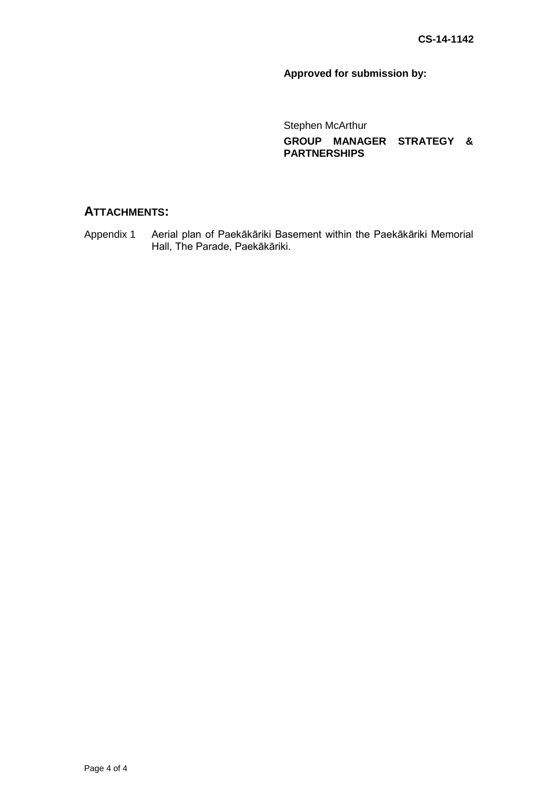# **Approved for submission by:**

Stephen McArthur **GROUP MANAGER STRATEGY & PARTNERSHIPS**

# **ATTACHMENTS:**

Appendix 1 Aerial plan of Paekākāriki Basement within the Paekākāriki Memorial Hall, The Parade, Paekākāriki.